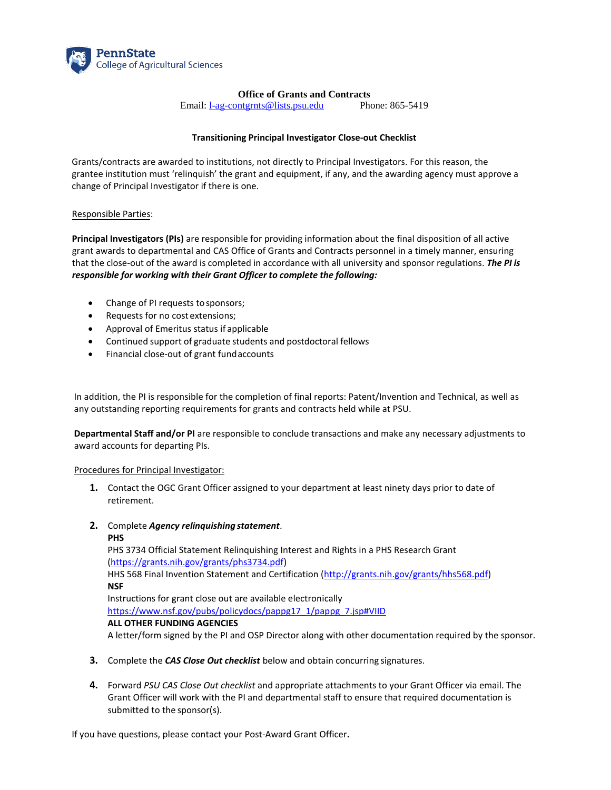

# **Office of Grants and Contracts**

Email: [l-ag-contgrnts@lists.psu.edu](mailto:l-ag-contgrnts@lists.psu.edu) Phone: 865-5419

## **Transitioning Principal Investigator Close-out Checklist**

Grants/contracts are awarded to institutions, not directly to Principal Investigators. For this reason, the grantee institution must 'relinquish' the grant and equipment, if any, and the awarding agency must approve a change of Principal Investigator if there is one.

### Responsible Parties:

**Principal Investigators (PIs)** are responsible for providing information about the final disposition of all active grant awards to departmental and CAS Office of Grants and Contracts personnel in a timely manner, ensuring that the close-out of the award is completed in accordance with all university and sponsor regulations. *The PI is responsible for working with their Grant Officer to complete the following:* 

- Change of PI requests to sponsors;
- Requests for no cost extensions;
- Approval of Emeritus status if applicable
- Continued support of graduate students and postdoctoral fellows
- Financial close-out of grant fund accounts

In addition, the PI is responsible for the completion of final reports: Patent/Invention and Technical, as well as any outstanding reporting requirements for grants and contracts held while at PSU.

**Departmental Staff and/or PI** are responsible to conclude transactions and make any necessary adjustments to award accounts for departing PIs.

### Procedures for Principal Investigator:

- **1.** Contact the OGC Grant Officer assigned to your department at least ninety days prior to date of retirement.
- **2.** Complete *Agency relinquishing statement*.

#### **PHS**

PHS 3734 Official Statement Relinquishing Interest and Rights in a PHS Research Grant (https://grants.nih.gov/grants/phs3734.pdf) HHS 568 Final Invention Statement and Certification [\(http://grants.nih.gov/grants/hhs568.pdf\)](http://grants.nih.gov/grants/hhs568.pdf)) **NSF** Instructions for grant close out are available electronically [https://www.nsf.gov/pubs/policydocs/pappg17\\_1/pappg\\_7.jsp#VIID](https://www.nsf.gov/pubs/policydocs/pappg17_1/pappg_7.jsp#VIID)

### **ALL OTHER FUNDING AGENCIES**

A letter/form signed by the PI and OSP Director along with other documentation required by the sponsor.

- **3.** Complete the *CAS Close Out checklist* below and obtain concurring signatures.
- **4.** Forward *PSU CAS Close Out checklist* and appropriate attachments to your Grant Officer via email. The Grant Officer will work with the PI and departmental staff to ensure that required documentation is submitted to the sponsor(s).

If you have questions, please contact your Post-Award Grant Officer**.**